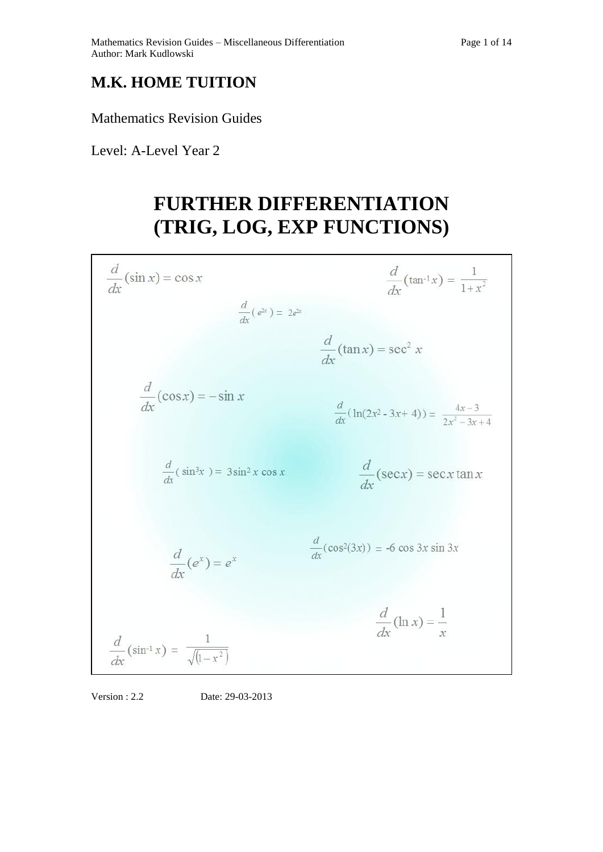# **M.K. HOME TUITION**

Mathematics Revision Guides

Level: A-Level Year 2

# **FURTHER DIFFERENTIATION (TRIG, LOG, EXP FUNCTIONS)**

| $\frac{d}{dx}(\sin x) = \cos x$                                 | $rac{d}{dx}(\tan^{-1}x) = \frac{1}{1+x^2}$              |
|-----------------------------------------------------------------|---------------------------------------------------------|
| $\frac{d}{dx}(e^{2x}) = 2e^{2x}$                                |                                                         |
|                                                                 | $\frac{d}{dx}(\tan x) = \sec^2 x$                       |
| $\frac{d}{dx}(\cos x) = -\sin x$                                | $\frac{d}{dx}(\ln(2x^2-3x+4)) = \frac{4x-3}{2x^2-3x+4}$ |
| $\frac{d}{dx}$ (sin <sup>3</sup> x) = 3sin <sup>2</sup> x cos x | $\frac{d}{dx}(\sec x) = \sec x \tan x$                  |
| $\frac{d}{dx}(e^x) = e^x$                                       | $\frac{d}{dx}(\cos^2(3x)) = -6 \cos 3x \sin 3x$         |
| $rac{d}{dx}(\sin^{-1}x) = \frac{1}{\sqrt{1-x^2}}$               | $\frac{d}{dx}(\ln x) = \frac{1}{x}$                     |

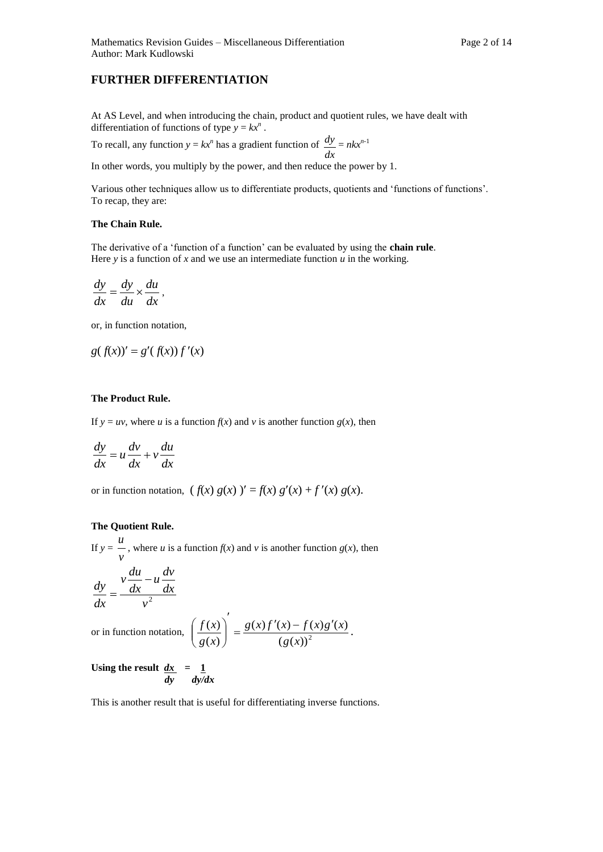# **FURTHER DIFFERENTIATION**

At AS Level, and when introducing the chain, product and quotient rules, we have dealt with differentiation of functions of type  $y = kx^n$ .

To recall, any function  $y = kx^n$  has a gradient function of *dx*  $\frac{dy}{dx} = n k x^{n-1}$ 

In other words, you multiply by the power, and then reduce the power by 1.

Various other techniques allow us to differentiate products, quotients and 'functions of functions'. To recap, they are:

#### **The Chain Rule.**

The derivative of a 'function of a function' can be evaluated by using the **chain rule**. Here  $y$  is a function of  $x$  and we use an intermediate function  $u$  in the working.

$$
\frac{dy}{dx} = \frac{dy}{du} \times \frac{du}{dx},
$$

or, in function notation,

$$
g(f(x))' = g'(f(x))f'(x)
$$

#### **The Product Rule.**

If  $y = uv$ , where *u* is a function  $f(x)$  and *v* is another function  $g(x)$ , then

$$
\frac{dy}{dx} = u\frac{dv}{dx} + v\frac{du}{dx}
$$

or in function notation,  $(f(x) g(x))' = f(x) g'(x) + f'(x) g(x)$ .

#### **The Quotient Rule.**

If  $y =$ *v u*, where *u* is a function  $f(x)$  and *v* is another function  $g(x)$ , then

$$
\frac{dy}{dx} = \frac{v\frac{du}{dx} - u\frac{dv}{dx}}{v^2}
$$

or in function notation,  $\left(\frac{f(x)}{g(x)}\right) = \frac{g(x)f(x)}{(g(x))^2}$  $(x)$  $(x)$ *g x*  $\frac{f(x)}{f(x)} = \frac{g(x)f'(x) - f(x)g'(x)}{g(x)}$  $\overline{\phantom{a}}$  $\overline{\phantom{a}}$ J  $\setminus$  $\overline{\phantom{a}}$  $\setminus$  $\left(\frac{f(x)}{g(x)}\right) = \frac{g(x)f'(x) - f(x)g'(x)}{2}.$ 

Using the result 
$$
\frac{dx}{dy} = \frac{1}{\frac{dy}{dx}}
$$

This is another result that is useful for differentiating inverse functions.

 $(x) f'(x) - f(x) g'(x)$ 

*g x*  $g(x)f'(x) - f(x)g'(x)$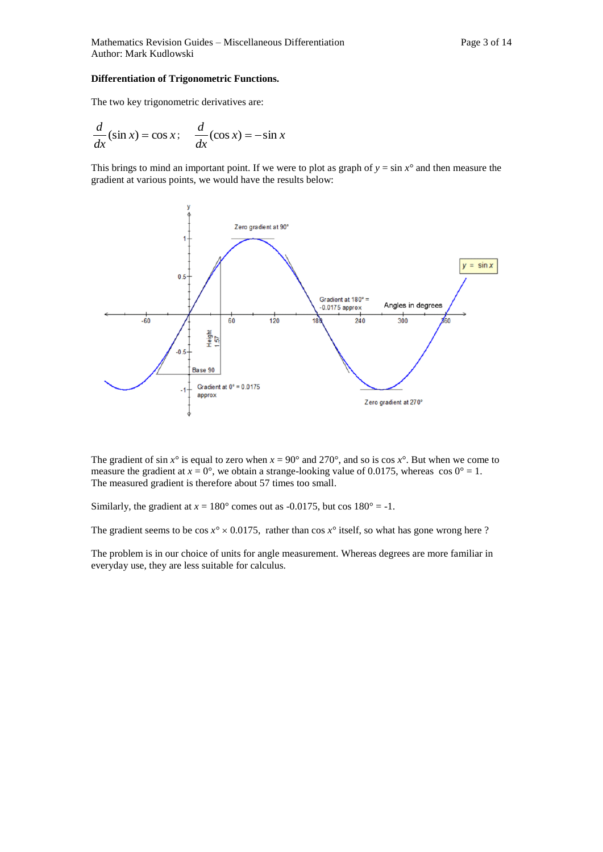#### **Differentiation of Trigonometric Functions.**

The two key trigonometric derivatives are:

$$
\frac{d}{dx}(\sin x) = \cos x; \quad \frac{d}{dx}(\cos x) = -\sin x
$$

This brings to mind an important point. If we were to plot as graph of  $y = \sin x^\circ$  and then measure the gradient at various points, we would have the results below:



The gradient of sin  $x^\circ$  is equal to zero when  $x = 90^\circ$  and 270°, and so is cos  $x^\circ$ . But when we come to measure the gradient at  $x = 0^{\circ}$ , we obtain a strange-looking value of 0.0175, whereas cos  $0^{\circ} = 1$ . The measured gradient is therefore about 57 times too small.

Similarly, the gradient at  $x = 180^\circ$  comes out as -0.0175, but cos  $180^\circ = -1$ .

The gradient seems to be  $\cos x^{\circ} \times 0.0175$ , rather than  $\cos x^{\circ}$  itself, so what has gone wrong here ?

The problem is in our choice of units for angle measurement. Whereas degrees are more familiar in everyday use, they are less suitable for calculus.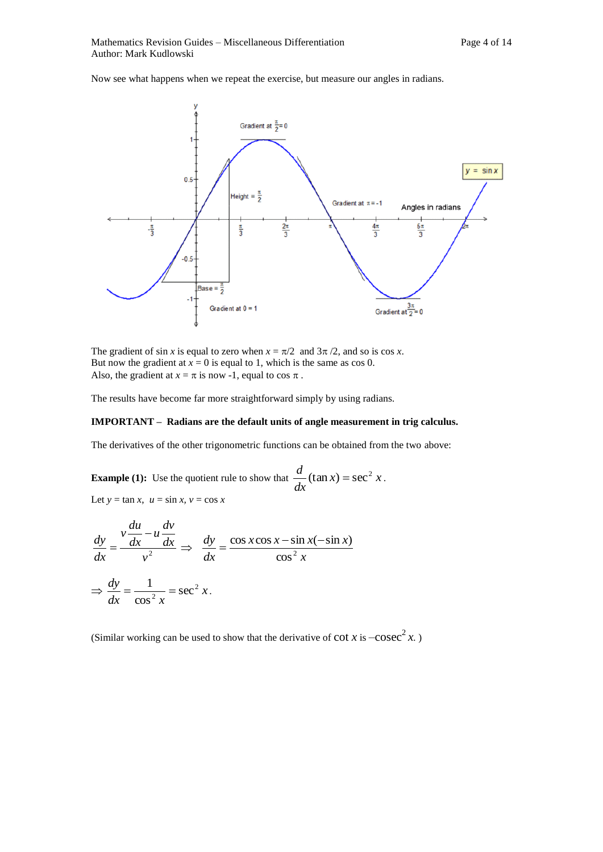Now see what happens when we repeat the exercise, but measure our angles in radians.



The gradient of sin *x* is equal to zero when  $x = \pi/2$  and  $3\pi/2$ , and so is cos *x*. But now the gradient at  $x = 0$  is equal to 1, which is the same as cos 0. Also, the gradient at  $x = \pi$  is now -1, equal to cos  $\pi$ .

The results have become far more straightforward simply by using radians.

#### **IMPORTANT – Radians are the default units of angle measurement in trig calculus.**

The derivatives of the other trigonometric functions can be obtained from the two above:

**Example (1):** Use the quotient rule to show that  $\frac{u}{x}(\tan x) = \sec^2 x$ *dx*  $\frac{d}{dx}$ (tan x) = sec<sup>2</sup> x. Let  $y = \tan x$ ,  $u = \sin x$ ,  $v = \cos x$ 

$$
\frac{dy}{dx} = \frac{v\frac{du}{dx} - u\frac{dv}{dx}}{v^2} \implies \frac{dy}{dx} = \frac{\cos x \cos x - \sin x(-\sin x)}{\cos^2 x}
$$

$$
\implies \frac{dy}{dx} = \frac{1}{\cos^2 x} = \sec^2 x.
$$

(Similar working can be used to show that the derivative of  $\cot x$  is  $-\csc^2 x$ .)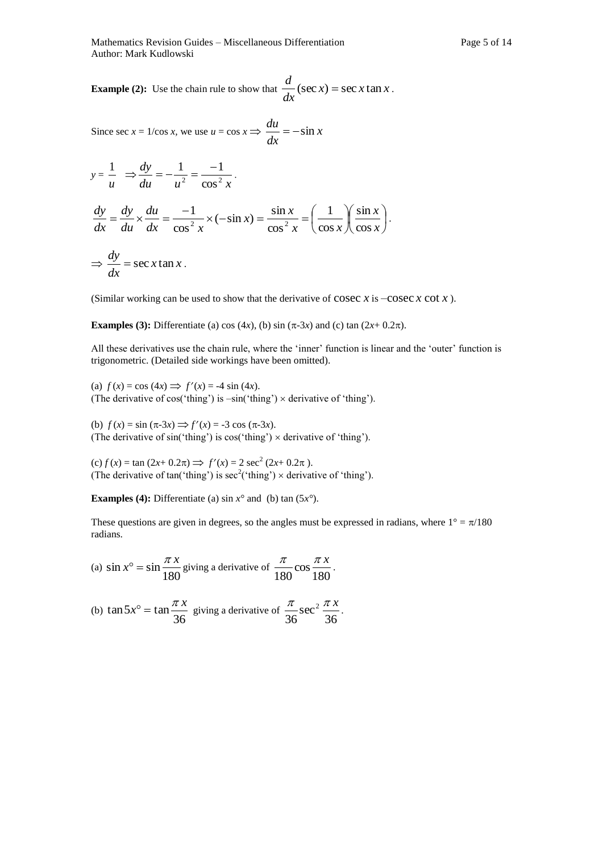**Example (2):** Use the chain rule to show that  $\frac{a}{b}$  (sec x) = sec x tan x *dx*  $\frac{d}{dx}$  (sec x) = sec x tan x.

Since sec  $x = 1/\cos x$ , we use  $u = \cos x \implies \frac{du}{dx} = -\sin x$ *dx*  $\frac{du}{dt} = -\sin$ 

$$
y = \frac{1}{u} \Rightarrow \frac{dy}{du} = -\frac{1}{u^2} = \frac{-1}{\cos^2 x}.
$$

 $\overline{\phantom{a}}$ J  $\left(\frac{\sin x}{x}\right)$  $\setminus$  $\Bigg)$  $\bigg)$  $\left(\frac{1}{\sqrt{2}}\right)$  $\setminus$  $=\frac{dy}{dx} \times \frac{du}{dx} = \frac{-1}{2} \times (-\sin x) = \frac{\sin x}{2} =$ *x x*  $x \cdot \cos x$  $f(x) = \frac{\sin x}{2}$  $dx$   $\cos^2 x$ *du du dy dx dy* cos sin cos 1 cos  $(-\sin x) = \frac{\sin x}{2}$ cos 1  $\frac{1}{2}$  x (-sin x) =  $\frac{2 \pi}{\cos^2 x}$  =  $\frac{1}{\cos x}$   $\frac{2 \pi}{\cos x}$ .

$$
\Rightarrow \frac{dy}{dx} = \sec x \tan x \, .
$$

(Similar working can be used to show that the derivative of cosec  $x$  is  $-\csc x \cot x$ ).

**Examples (3):** Differentiate (a) cos (4*x*), (b) sin ( $\pi$ -3*x*) and (c) tan ( $2x+0.2\pi$ ).

All these derivatives use the chain rule, where the 'inner' function is linear and the 'outer' function is trigonometric. (Detailed side workings have been omitted).

(a)  $f(x) = \cos(4x) \implies f'(x) = -4 \sin(4x)$ . (The derivative of cos('thing') is  $-\sin('t)$   $\times$  derivative of 'thing').

(b)  $f(x) = \sin (\pi - 3x) \implies f'(x) = -3 \cos (\pi - 3x)$ . (The derivative of sin('thing') is cos('thing')  $\times$  derivative of 'thing').

 $f(x) = \tan (2x + 0.2\pi) \implies f'(x) = 2 \sec^2 (2x + 0.2\pi).$ (The derivative of  $tan('thing')$  is  $sec^2('thing') \times derivative of 'thing')$ .

**Examples (4):** Differentiate (a)  $\sin x^{\circ}$  and (b)  $\tan (5x^{\circ})$ .

These questions are given in degrees, so the angles must be expressed in radians, where  $1^{\circ} = \pi/180$ radians.

(a) 
$$
\sin x^{\circ} = \sin \frac{\pi x}{180}
$$
 giving a derivative of  $\frac{\pi}{180} \cos \frac{\pi x}{180}$ .

(b) 
$$
\tan 5x^{\circ} = \tan \frac{\pi x}{36}
$$
 giving a derivative of  $\frac{\pi}{36} \sec^2 \frac{\pi x}{36}$ .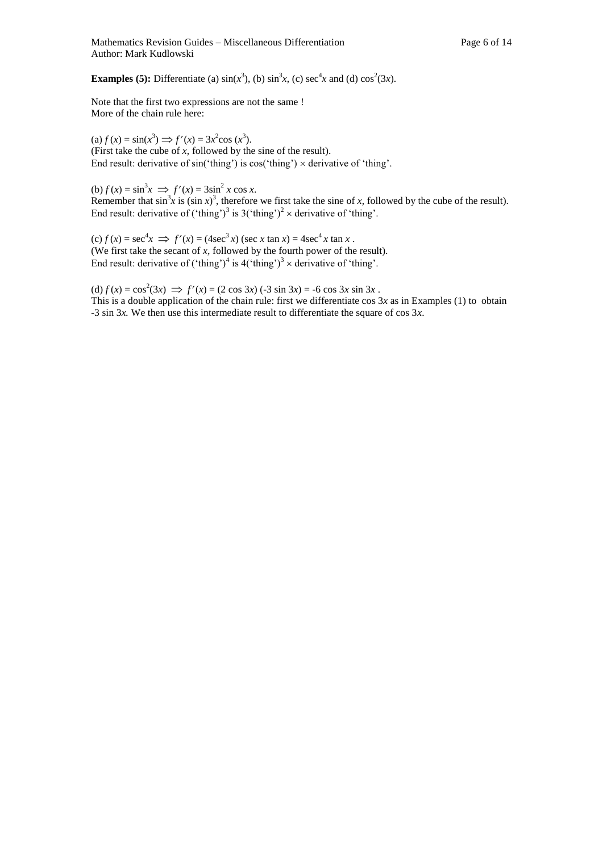**Examples (5):** Differentiate (a)  $\sin(x^3)$ , (b)  $\sin^3x$ , (c)  $\sec^4x$  and (d)  $\cos^2(3x)$ .

Note that the first two expressions are not the same ! More of the chain rule here:

 $f(x) = \sin(x^3) \implies f'(x) = 3x^2 \cos(x^3).$ (First take the cube of *x,* followed by the sine of the result). End result: derivative of  $sin('thing')$  is  $cos('thing') \times$  derivative of 'thing'.

 $f(x) = \sin^3 x \implies f'(x) = 3\sin^2 x \cos x.$ 

Remember that  $\sin^3 x$  is  $(\sin x)^3$ , therefore we first take the sine of *x*, followed by the cube of the result). End result: derivative of ('thing')<sup>3</sup> is 3('thing')<sup>2</sup> × derivative of 'thing'.

 $f(x) = \sec^4 x \implies f'(x) = (4\sec^3 x)(\sec x \tan x) = 4\sec^4 x \tan x$ . (We first take the secant of *x,* followed by the fourth power of the result). End result: derivative of ('thing')<sup>4</sup> is  $4$ ('thing')<sup>3</sup> × derivative of 'thing'.

 $(d) f(x) = cos<sup>2</sup>(3x) \implies f'(x) = (2 cos 3x) (-3 sin 3x) = -6 cos 3x sin 3x$ . This is a double application of the chain rule: first we differentiate cos 3*x* as in Examples (1) to obtain -3 sin 3*x.* We then use this intermediate result to differentiate the square of cos 3*x*.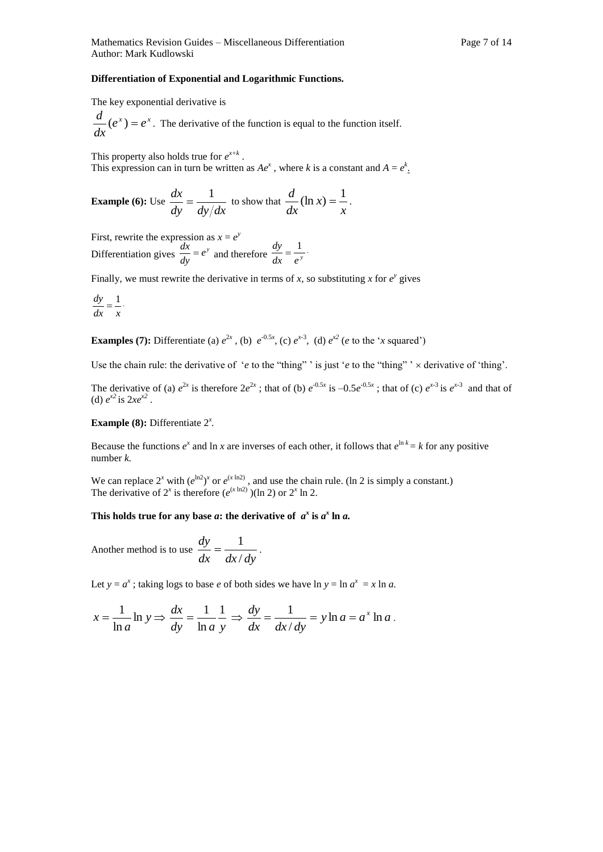#### **Differentiation of Exponential and Logarithmic Functions.**

The key exponential derivative is

 $e^x$ ) =  $e^x$ *dx*  $\frac{d}{dt}(e^x) = e^x$ . The derivative of the function is equal to the function itself.

This property also holds true for  $e^{x+k}$ . This expression can in turn be written as  $Ae^x$ , where *k* is a constant and  $A = e^k$ .

**Example (6):** Use  $\frac{du}{dy} = \frac{1}{dy/dx}$  $\frac{dx}{dy} = \frac{1}{dy/dx}$  to show that  $\frac{d}{dx}(\ln x) = \frac{1}{x}$ *x dx*  $\frac{d}{dx}$  (ln x) =  $\frac{1}{x}$ .

First, rewrite the expression as  $x = e^y$ Differentiation gives  $\frac{dx}{dy} = e^y$  $\frac{dx}{dy} = e^y$  and therefore  $\frac{dy}{dx} = \frac{1}{e^y}$  $\frac{dy}{dx} = \frac{1}{x}$ .

Finally, we must rewrite the derivative in terms of *x*, so substituting *x* for  $e^y$  gives

$$
\frac{dy}{dx} = \frac{1}{x}.
$$

**Examples** (7): Differentiate (a)  $e^{2x}$ , (b)  $e^{0.5x}$ , (c)  $e^{x-3}$ , (d)  $e^{x^2}$  (*e* to the '*x* squared')

Use the chain rule: the derivative of '*e* to the "thing" ' is just '*e* to the "thing"  $\times$  derivative of 'thing'.

The derivative of (a)  $e^{2x}$  is therefore  $2e^{2x}$ ; that of (b)  $e^{-0.5x}$  is  $-0.5e^{-0.5x}$ ; that of (c)  $e^{x-3}$  is  $e^{x-3}$  and that of (d)  $e^{x^2}$  is  $2xe^{x^2}$ .

## **Example (8):** Differentiate  $2^x$ .

Because the functions  $e^x$  and  $\ln x$  are inverses of each other, it follows that  $e^{\ln k} = k$  for any positive number *k.*

We can replace  $2^x$  with  $(e^{\ln 2})^x$  or  $e^{(x \ln 2)}$ , and use the chain rule. (ln 2 is simply a constant.) The derivative of  $2^x$  is therefore  $(e^{(x \ln 2)})(\ln 2)$  or  $2^x \ln 2$ .

# This holds true for any base  $a$ : the derivative of  $a^x$  is  $a^x \ln a$ .

Another method is to use  $\frac{dy}{dx} = \frac{1}{dx/dy}$ *dy* /  $=\frac{1}{\sqrt{1-\frac{1}{2}}}$ .

Let  $y = a^x$ ; taking logs to base *e* of both sides we have  $\ln y = \ln a^x = x \ln a$ .

$$
x = \frac{1}{\ln a} \ln y \Rightarrow \frac{dx}{dy} = \frac{1}{\ln a} \frac{1}{y} \Rightarrow \frac{dy}{dx} = \frac{1}{dx/dy} = y \ln a = a^x \ln a \, .
$$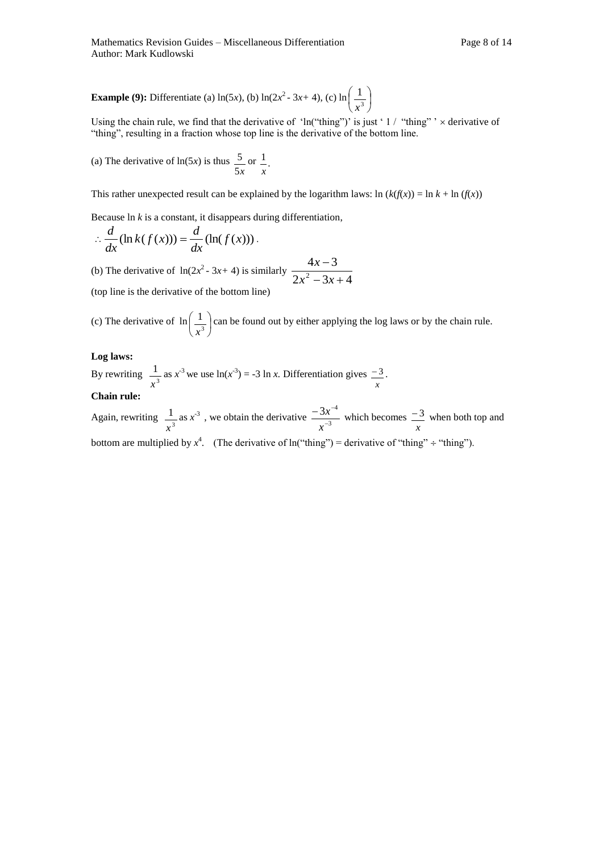Using the chain rule, we find that the derivative of 'ln("thing")' is just '1/"thing" '  $\times$  derivative of "thing", resulting in a fraction whose top line is the derivative of the bottom line.

(a) The derivative of 
$$
\ln(5x)
$$
 is thus  $\frac{5}{5x}$  or  $\frac{1}{x}$ .

This rather unexpected result can be explained by the logarithm laws:  $\ln (k(f(x))) = \ln k + \ln (f(x))$ 

Because ln *k* is a constant, it disappears during differentiation,

$$
\therefore \frac{d}{dx}(\ln k(f(x))) = \frac{d}{dx}(\ln(f(x))).
$$

(b) The derivative of  $ln(2x^2 - 3x + 4)$  is similarly  $\frac{-\pi}{2x^2 - 3x + 4}$  $4x - 3$  $x^2-3x+$  $\overline{a}$  $x^2 - 3x$ *x* (top line is the derivative of the bottom line)

(c) The derivative of  $\ln\left|\frac{1}{\frac{3}{3}}\right|$ Ј  $\left(\frac{1}{2}\right)$ L ſ 3 1 *x* can be found out by either applying the log laws or by the chain rule.

### **Log laws:**

By rewriting  $\frac{1}{n^3}$ 1 *x* as  $x^{-3}$  we use  $ln(x^{-3}) = -3 ln x$ . Differentiation gives *x*  $\frac{-3}{2}$ .

#### **Chain rule:**

Again, rewriting  $\frac{1}{r^3}$ 1 *x* as  $x^3$ , we obtain the derivative  $\frac{-3x}{x^{-3}}$  $3x^{-4}$  $\overline{a}$  $-3x^{-}$ *x*  $\frac{x^{-4}}{2}$  which becomes *x*  $\frac{-3}{2}$  when both top and bottom are multiplied by  $x^4$ . (The derivative of ln("thing") = derivative of "thing" ÷ "thing").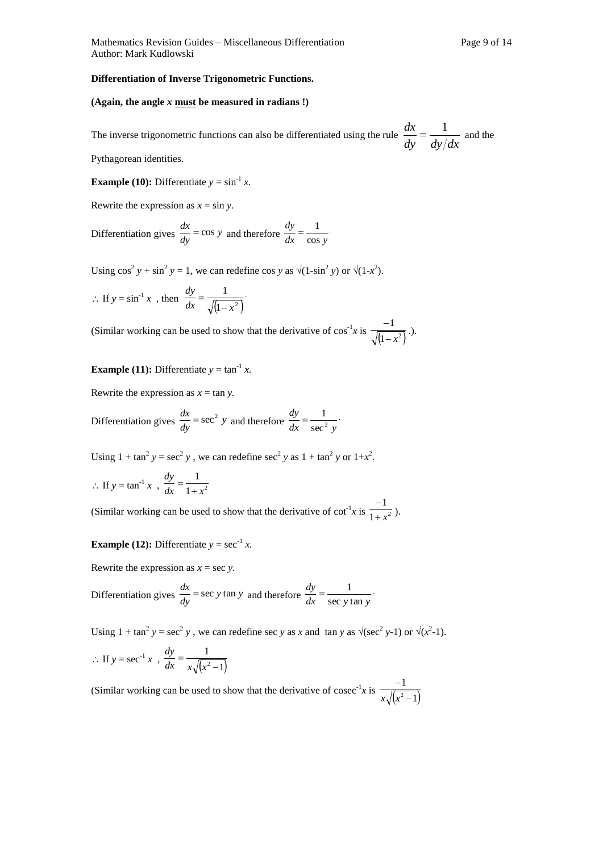#### **Differentiation of Inverse Trigonometric Functions.**

#### **(Again, the angle** *x* **must be measured in radians !)**

The inverse trigonometric functions can also be differentiated using the rule  $\frac{dx}{dy} = \frac{1}{\frac{dy}{dx}}$  $\frac{dx}{dt} = \frac{1}{2\pi kT}$  and the

Pythagorean identities.

**Example (10):** Differentiate  $y = \sin^{-1} x$ .

Rewrite the expression as  $x = \sin y$ .

Differentiation gives  $\frac{dx}{dy} = \cos y$  $\frac{dx}{dy}$  = cos y and therefore  $\frac{dy}{dx}$  =  $\frac{1}{\cos y}$ *dy* cos  $=\frac{1}{\sqrt{1-\frac{1}{2}}}$ 

Using  $\cos^2 y + \sin^2 y = 1$ , we can redefine  $\cos y$  as  $\sqrt{(1-\sin^2 y)}$  or  $\sqrt{(1-x^2)}$ .

$$
\therefore \text{ If } y = \sin^{-1} x \text{ , then } \frac{dy}{dx} = \frac{1}{\sqrt{1 - x^2}}.
$$

(Similar working can be used to show that the derivative of  $\cos^{-1} x$  is  $(1-x^2)$ 1 *x*  $\frac{-1}{\sqrt{2}}$ .

**Example (11):** Differentiate  $y = \tan^{-1} x$ .

Rewrite the expression as  $x = \tan y$ .

Differentiation gives  $\frac{dx}{dy} = \sec^2 y$  $\frac{dx}{dy}$  = sec<sup>2</sup> y and therefore  $\frac{dy}{dx} = \frac{1}{\sec^2 y}$ *dy*  $\sec^2$  $=\frac{1}{\sqrt{2}}$ 

Using  $1 + \tan^2 y = \sec^2 y$ , we can redefine  $\sec^2 y$  as  $1 + \tan^2 y$  or  $1 + x^2$ .

$$
\therefore \text{ If } y = \tan^{-1} x , \frac{dy}{dx} = \frac{1}{1 + x^2}
$$

(Similar working can be used to show that the derivative of  $\cot^{-1} x$  is  $\frac{1}{1+x^2}$ 1 *x*  $\overline{a}$ ).

**Example (12):** Differentiate  $y = \sec^{-1} x$ .

Rewrite the expression as  $x = \sec y$ .

Differentiation gives 
$$
\frac{dx}{dy} = \sec y \tan y
$$
 and therefore  $\frac{dy}{dx} = \frac{1}{\sec y \tan y}$ .

Using  $1 + \tan^2 y = \sec^2 y$ , we can redefine sec *y* as *x* and  $\tan y$  as  $\sqrt{\sec^2 y - 1}$  or  $\sqrt{x^2 - 1}$ .  $\therefore$  If  $y = \sec^{-1} x$ ,  $(x^2-1)$ 1  $2^2$   $=$  $dx$  *x*  $\sqrt{x}$ *dy*

(Similar working can be used to show that the derivative of  $\csc^{-1} x$  is  $(x^2-1)$ 1  $2^{\circ}$  $\overline{a}$ *x x*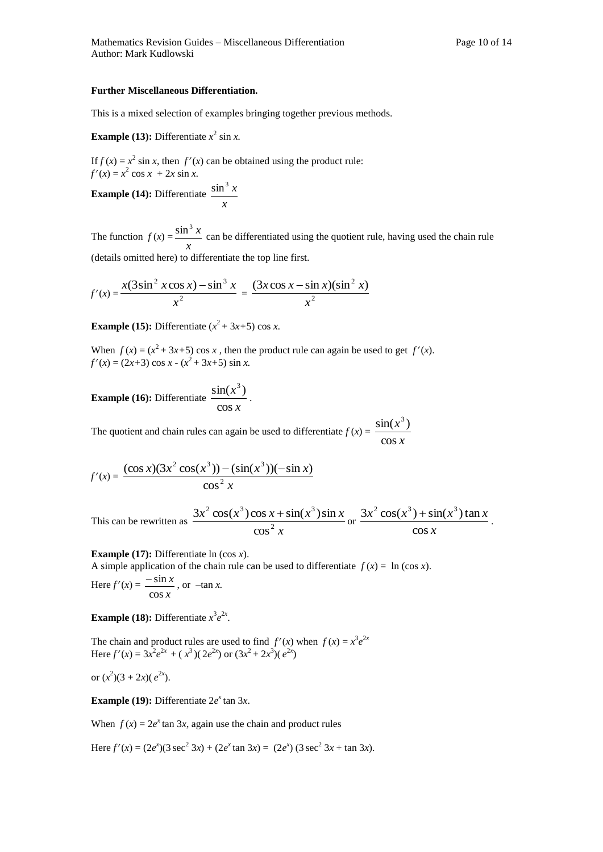#### **Further Miscellaneous Differentiation.**

This is a mixed selection of examples bringing together previous methods.

**Example (13):** Differentiate  $x^2 \sin x$ .

If  $f(x) = x^2 \sin x$ , then  $f'(x)$  can be obtained using the product rule:  $f'(x) = x^2 \cos x + 2x \sin x$ .

**Example (14):** Differentiate *x*  $\sin^3 x$ 

The function  $f(x) =$ *x*  $\frac{\sin^3 x}{x}$  can be differentiated using the quotient rule, having used the chain rule (details omitted here) to differentiate the top line first.

$$
f'(x) = \frac{x(3\sin^2 x \cos x) - \sin^3 x}{x^2} = \frac{(3x\cos x - \sin x)(\sin^2 x)}{x^2}
$$

**Example (15):** Differentiate  $(x^2 + 3x+5)$  cos *x*.

When  $f(x) = (x^2 + 3x+5) \cos x$ , then the product rule can again be used to get  $f'(x)$ .  $f'(x) = (2x+3)\cos x - (x^2+3x+5)\sin x$ .

**Example (16):** Differentiate  $\frac{3\pi x}{\cos x}$ *x* cos  $\sin(x^3)$ .

The quotient and chain rules can again be used to differentiate  $f(x) = \frac{\sin(x)}{\cos x}$ *x* cos  $\sin(x^3)$ 

$$
f'(x) = \frac{(\cos x)(3x^2 \cos(x^3)) - (\sin(x^3))(-\sin x)}{\cos^2 x}
$$

This can be rewritten as 
$$
\frac{3x^2 \cos(x^3) \cos x + \sin(x^3) \sin x}{\cos^2 x}
$$
 or 
$$
\frac{3x^2 \cos(x^3) + \sin(x^3) \tan x}{\cos x}
$$
.

**Example (17):** Differentiate ln (cos *x*).

A simple application of the chain rule can be used to differentiate  $f(x) = \ln(\cos x)$ .

Here 
$$
f'(x) = \frac{-\sin x}{\cos x}
$$
, or  $-\tan x$ .

**Example (18):** Differentiate  $x^3e^{2x}$ .

The chain and product rules are used to find  $f'(x)$  when  $f(x) = x^3 e^{2x}$ Here  $f'(x) = 3x^2e^{2x} + (x^3)(2e^{2x})$  or  $(3x^2 + 2x^3)(e^{2x})$ 

or  $(x^2)(3 + 2x)(e^{2x})$ .

**Example (19):** Differentiate  $2e^x$  tan 3*x*.

When  $f(x) = 2e^x \tan 3x$ , again use the chain and product rules

Here  $f'(x) = (2e^x)(3 \sec^2 3x) + (2e^x \tan 3x) = (2e^x)(3 \sec^2 3x + \tan 3x)$ .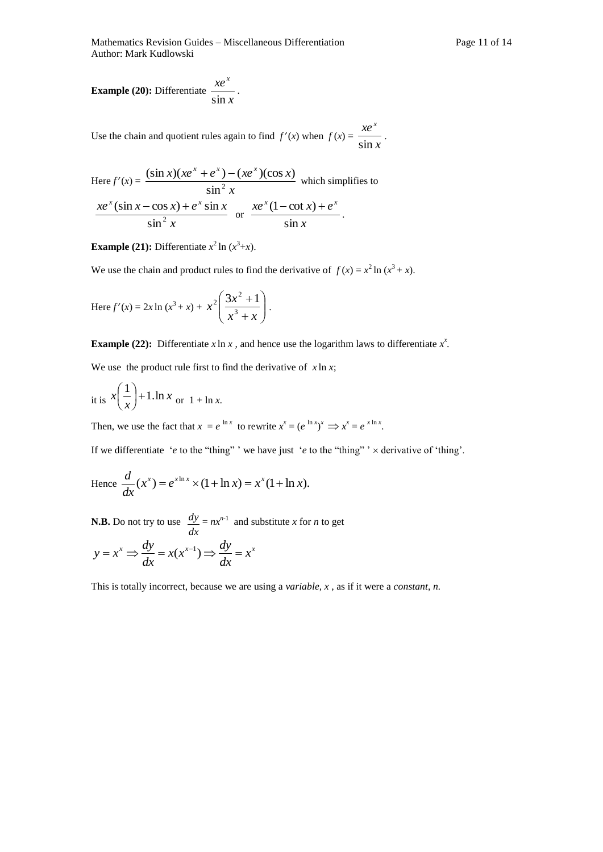**Example (20):** Differentiate  $\frac{1}{\sin x}$ *xe x*  $\frac{\ldots}{\sin x}$ .

Use the chain and quotient rules again to find  $f'(x)$  when  $f(x) = \frac{ax}{\sin x}$ *xe x*  $\frac{\ldots}{\sin x}$ .

Here 
$$
f'(x) = \frac{(\sin x)(xe^x + e^x) - (xe^x)(\cos x)}{\sin^2 x}
$$
 which simplifies to  

$$
\frac{xe^x(\sin x - \cos x) + e^x \sin x}{\sin^2 x}
$$
 or 
$$
\frac{xe^x(1 - \cot x) + e^x}{\sin x}
$$
.

**Example (21):** Differentiate  $x^2 \ln(x^3+x)$ .

We use the chain and product rules to find the derivative of  $f(x) = x^2 \ln(x^3 + x)$ .

Here 
$$
f'(x) = 2x \ln (x^3 + x) + x^2 \left( \frac{3x^2 + 1}{x^3 + x} \right)
$$
.

**Example (22):** Differentiate *x* ln *x*, and hence use the logarithm laws to differentiate  $x^x$ .

We use the product rule first to find the derivative of  $x \ln x$ ;

it is 
$$
x\left(\frac{1}{x}\right) + 1 \cdot \ln x
$$
 or  $1 + \ln x$ .

Then, we use the fact that  $x = e^{\ln x}$  to rewrite  $x^x = (e^{\ln x})^x \implies x^x = e^{x \ln x}$ .

If we differentiate '*e* to the "thing" ' we have just '*e* to the "thing" '  $\times$  derivative of 'thing'.

Hence 
$$
\frac{d}{dx}(x^x) = e^{x \ln x} \times (1 + \ln x) = x^x (1 + \ln x).
$$

**N.B.** Do not try to use *dx*  $\frac{dy}{dx} = nx^{n-1}$  and substitute *x* for *n* to get

$$
y = x^x \Rightarrow \frac{dy}{dx} = x(x^{x-1}) \Rightarrow \frac{dy}{dx} = x^x
$$

This is totally incorrect, because we are using a *variable, x* , as if it were a *constant*, *n.*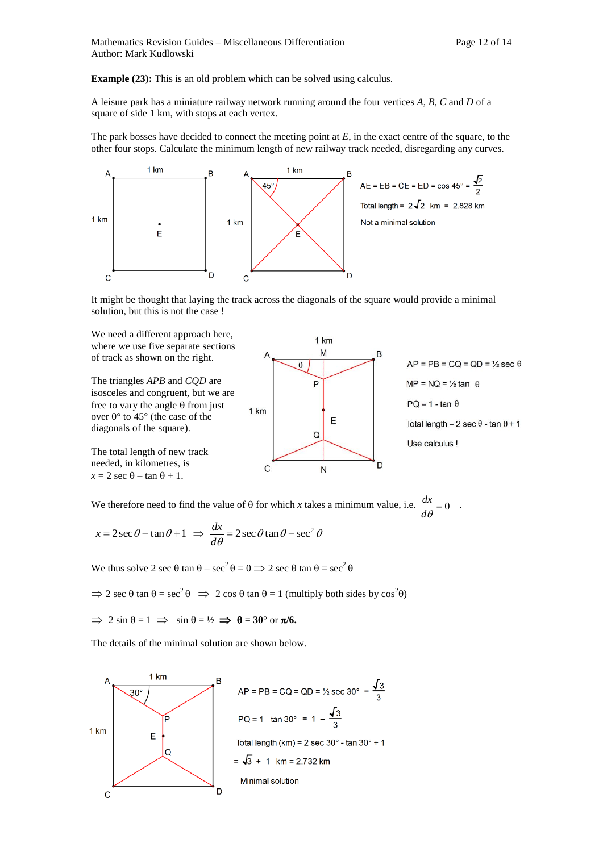**Example (23):** This is an old problem which can be solved using calculus.

A leisure park has a miniature railway network running around the four vertices *A*, *B*, *C* and *D* of a square of side 1 km, with stops at each vertex.

The park bosses have decided to connect the meeting point at *E*, in the exact centre of the square, to the other four stops. Calculate the minimum length of new railway track needed, disregarding any curves.



It might be thought that laying the track across the diagonals of the square would provide a minimal solution, but this is not the case !

We need a different approach here, where we use five separate sections of track as shown on the right.

The triangles *APB* and *CQD* are isosceles and congruent, but we are free to vary the angle  $\theta$  from just over 0° to 45° (the case of the diagonals of the square).



 $1 km$ 

 $AP = PB = CQ = QD = \frac{1}{2} \sec \theta$  $MP = NQ = \frac{1}{2} \tan \theta$  $PQ = 1 - \tan \theta$ Total length =  $2 \sec \theta - \tan \theta + 1$ Use calculus !

The total length of new track needed, in kilometres, is  $x = 2 \sec \theta - \tan \theta + 1$ .

We therefore need to find the value of  $\theta$  for which *x* takes a minimum value, i.e.  $\frac{dx}{d\theta} = 0$  $\frac{dx}{x} = 0$ .

$$
x = 2\sec\theta - \tan\theta + 1 \implies \frac{dx}{d\theta} = 2\sec\theta\tan\theta - \sec^2\theta
$$

We thus solve 2 sec  $\theta$  tan  $\theta$  – sec<sup>2</sup> $\theta$  = 0  $\Rightarrow$  2 sec  $\theta$  tan  $\theta$  = sec<sup>2</sup> $\theta$ 

 $\Rightarrow$  2 sec  $\theta$  tan  $\theta = \sec^2 \theta \Rightarrow$  2 cos  $\theta$  tan  $\theta = 1$  (multiply both sides by  $\cos^2 \theta$ )

 $\Rightarrow$  2 sin  $\theta = 1 \Rightarrow$  sin  $\theta = \frac{1}{2} \Rightarrow \theta = 30^{\circ}$  or  $\pi/6$ .

The details of the minimal solution are shown below.

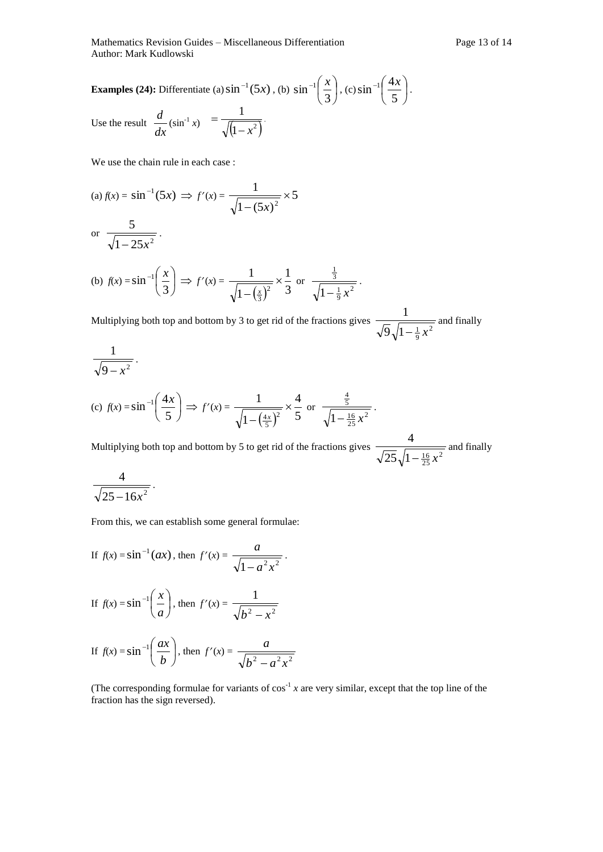Mathematics Revision Guides – Miscellaneous Differentiation Page 13 of 14 Author: Mark Kudlowski

**Examples (24):** Differentiate (a) 
$$
\sin^{-1}(5x)
$$
, (b)  $\sin^{-1}(\frac{x}{3})$ , (c)  $\sin^{-1}(\frac{4x}{5})$ .  
Use the result 
$$
\frac{d}{dx}(\sin^{-1}x) = \frac{1}{\sqrt{1-x^2}}
$$

We use the chain rule in each case :

(a) 
$$
f(x) = \sin^{-1}(5x) \implies f'(x) = \frac{1}{\sqrt{1 - (5x)^2}} \times 5
$$
  
or  $\frac{5}{\sqrt{1 - 25x^2}}$ .

(b) 
$$
f(x) = \sin^{-1}\left(\frac{x}{3}\right) \implies f'(x) = \frac{1}{\sqrt{1 - \left(\frac{x}{3}\right)^2}} \times \frac{1}{3}
$$
 or  $\frac{\frac{1}{3}}{\sqrt{1 - \frac{1}{9}x^2}}$ .

Multiplying both top and bottom by 3 to get rid of the fractions gives  $\frac{1}{\sqrt{2\sqrt{1+1}}\sqrt{2}}$  $9\sqrt{1-\frac{1}{9}}$ 1  $-\frac{1}{9}x$ and finally

$$
\frac{1}{\sqrt{9-x^2}}.
$$

(c) 
$$
f(x) = \sin^{-1}\left(\frac{4x}{5}\right) \implies f'(x) = \frac{1}{\sqrt{1 - \left(\frac{4x}{5}\right)^2}} \times \frac{4}{5}
$$
 or  $\frac{\frac{4}{5}}{\sqrt{1 - \frac{16}{25}x^2}}$ .

Multiplying both top and bottom by 5 to get rid of the fractions gives  $\frac{1}{\sqrt{25}} \int_1^{\frac{\pi}{16}} \frac{1}{x^2}$  $25\sqrt{1-\frac{16}{25}}$ 4  $-\frac{16}{25}x$ and finally

$$
\frac{4}{\sqrt{25-16x^2}}.
$$

From this, we can establish some general formulae:

If 
$$
f(x) = \sin^{-1}(ax)
$$
, then  $f'(x) = \frac{a}{\sqrt{1 - a^2 x^2}}$ .  
\nIf  $f(x) = \sin^{-1}(\frac{x}{a})$ , then  $f'(x) = \frac{1}{\sqrt{b^2 - x^2}}$   
\nIf  $f(x) = \sin^{-1}(\frac{ax}{b})$ , then  $f'(x) = \frac{a}{\sqrt{b^2 - a^2 x^2}}$ 

(The corresponding formulae for variants of  $\cos^{-1} x$  are very similar, except that the top line of the fraction has the sign reversed).